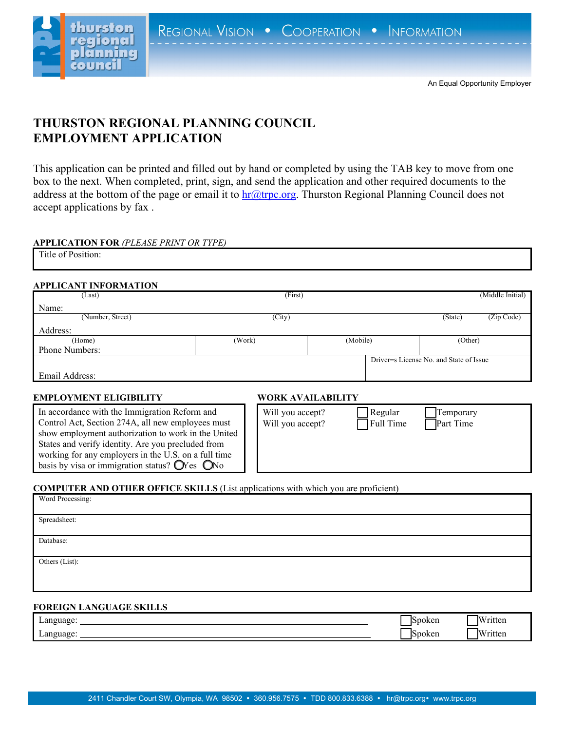

# **THURSTON REGIONAL PLANNING COUNCIL EMPLOYMENT APPLICATION**

This application can be printed and filled out by hand or completed by using the TAB key to move from one box to the next. When completed, print, sign, and send the application and other required documents to the address at the bottom of the page or email it to  $\ln(a\theta)$  trpc.org. Thurston Regional Planning Council does not accept applications by fax .

### **APPLICATION FOR** *(PLEASE PRINT OR TYPE)*

| -- |  |  |  |
|----|--|--|--|
|    |  |  |  |

#### **APPLICANT INFORMATION**

| (Last)                | (First) |          |                                         | (Middle Initial) |
|-----------------------|---------|----------|-----------------------------------------|------------------|
| Name:                 |         |          |                                         |                  |
| (Number, Street)      | (City)  |          | (State)                                 | (Zip Code)       |
| Address:              |         |          |                                         |                  |
| (Home)                | (Work)  | (Mobile) | (Other)                                 |                  |
| <b>Phone Numbers:</b> |         |          |                                         |                  |
|                       |         |          | Driver=s License No. and State of Issue |                  |
| Email Address:        |         |          |                                         |                  |
|                       |         |          |                                         |                  |

## **EMPLOYMENT ELIGIBILITY WORK AVAILABILITY**

In accordance with the Im Control Act, Section 274A show employment authori States and verify identity. working for any employer basis by visa or immigrati

### **COMPUTER AND OTHER OFFICE SKILLS** (List applications with which you are proficient)

| Word Processing: |  |
|------------------|--|
| Spreadsheet:     |  |
| Database:        |  |
| Others (List):   |  |

# **FOREIGN LANGUAGE SKILLS**

| Language:<br>. .<br>∼ | <b>Spoken</b> | Written |
|-----------------------|---------------|---------|
| Language:<br>. .<br>ັ | Spoken        | Written |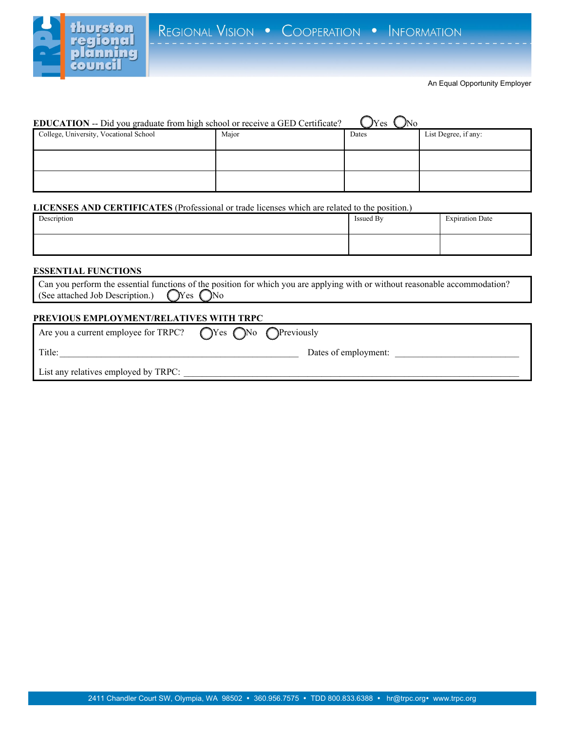

#### An Equal Opportunity Employer

| EDUCATION -- Did you graduate from high school or receive a GED Certificate? |       | $v_{\text{Yes}}$ |                      |
|------------------------------------------------------------------------------|-------|------------------|----------------------|
| College, University, Vocational School                                       | Major | Dates            | List Degree, if any: |
|                                                                              |       |                  |                      |
|                                                                              |       |                  |                      |

#### **LICENSES AND CERTIFICATES** (Professional or trade licenses which are related to the position.)

| Description | Issued By | <b>Expiration Date</b> |
|-------------|-----------|------------------------|
|             |           |                        |

## **ESSENTIAL FUNCTIONS**

|                                                              | Can you perform the essential functions of the position for which you are applying with or without reasonable accommodation? |  |
|--------------------------------------------------------------|------------------------------------------------------------------------------------------------------------------------------|--|
| (See attached Job Description.) $\bigcirc$ Yes $\bigcirc$ No |                                                                                                                              |  |

# **PREVIOUS EMPLOYMENT/RELATIVES WITH TRPC**

| Are you a current employee for TRPC? $\bigcap$ Yes $\bigcap$ No $\bigcap$ Previously |                      |  |
|--------------------------------------------------------------------------------------|----------------------|--|
| Title:                                                                               | Dates of employment: |  |
| List any relatives employed by TRPC:                                                 |                      |  |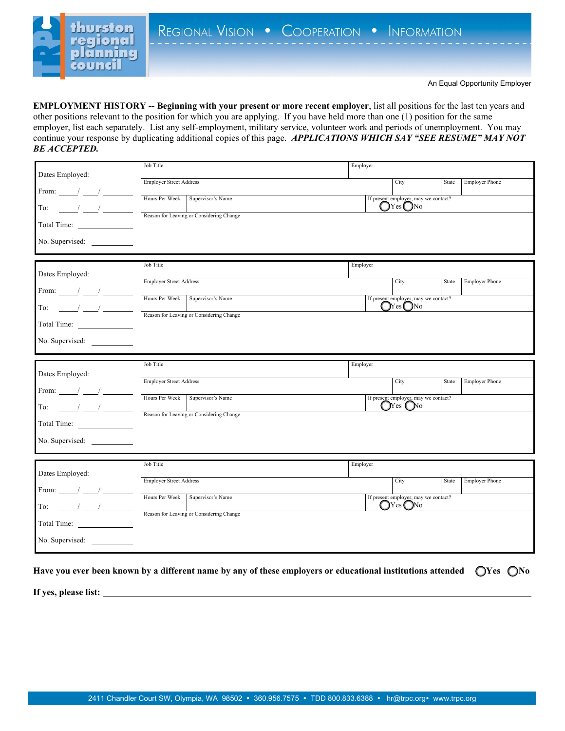

**EMPLOYMENT HISTORY -- Beginning with your present or more recent employer**, list all positions for the last ten years and other positions relevant to the position for which you are applying. If you have held more than one (1) position for the same employer, list each separately. List any self-employment, military service, volunteer work and periods of unemployment. You may continue your response by duplicating additional copies of this page. *APPLICATIONS WHICH SAY "SEE RESUME" MAY NOT BE ACCEPTED.*

|                                                 | Job Title                                | Employer                                               |                                |
|-------------------------------------------------|------------------------------------------|--------------------------------------------------------|--------------------------------|
| Dates Employed:                                 | <b>Employer Street Address</b>           | City                                                   | <b>Employer Phone</b><br>State |
| From: $/$ /                                     |                                          |                                                        |                                |
| $\sim$ $\sim$ $\sim$<br>To:                     | Hours Per Week Supervisor's Name         | If present employer, may we contact?<br>$OY$ es $O$ No |                                |
|                                                 | Reason for Leaving or Considering Change |                                                        |                                |
| Total Time:                                     |                                          |                                                        |                                |
| No. Supervised:                                 |                                          |                                                        |                                |
|                                                 |                                          |                                                        |                                |
| Dates Employed:                                 | Job Title                                | Employer                                               |                                |
|                                                 | <b>Employer Street Address</b>           | City                                                   | State<br><b>Employer Phone</b> |
| From: $\frac{1}{\sqrt{2}}$                      | Hours Per Week<br>Supervisor's Name      | If present employer, may we contact?                   |                                |
| To: $\sqrt{2}$                                  |                                          | $\bigcirc$ Yes $\bigcirc$ No                           |                                |
| Total Time:                                     | Reason for Leaving or Considering Change |                                                        |                                |
|                                                 |                                          |                                                        |                                |
| No. Supervised:                                 |                                          |                                                        |                                |
|                                                 | Job Title                                | Employer                                               |                                |
| Dates Employed:                                 |                                          |                                                        |                                |
| From: $\frac{1}{\sqrt{2}}$ $\frac{1}{\sqrt{2}}$ | <b>Employer Street Address</b>           | City                                                   | State<br><b>Employer Phone</b> |
|                                                 | Hours Per Week Supervisor's Name         | If present employer, may we contact?                   |                                |
| $\frac{1}{2}$ $\frac{1}{2}$<br>To:              | Reason for Leaving or Considering Change | $\bigcirc$ Yes $\bigcirc$ No                           |                                |
|                                                 |                                          |                                                        |                                |
| No. Supervised:                                 |                                          |                                                        |                                |
|                                                 |                                          |                                                        |                                |
|                                                 | Job Title                                | Employer                                               |                                |
| Dates Employed:                                 | <b>Employer Street Address</b>           | City                                                   | State<br><b>Employer Phone</b> |
| From: $\frac{\ }{\ }$ / $\frac{\ }{\ }$         |                                          |                                                        |                                |
|                                                 |                                          | If present employer, may we contact?                   |                                |
|                                                 | Hours Per Week Supervisor's Name         | $\bigcap$ Yes $\bigcap$ No                             |                                |
| $\frac{1}{\sqrt{1-\frac{1}{2}}}$<br>To:         | Reason for Leaving or Considering Change |                                                        |                                |
| Total Time:                                     |                                          |                                                        |                                |
| No. Supervised:                                 |                                          |                                                        |                                |

**Have you ever been known by a different name by any of these employers or educational institutions attended Yes No**

**If yes, please list:**